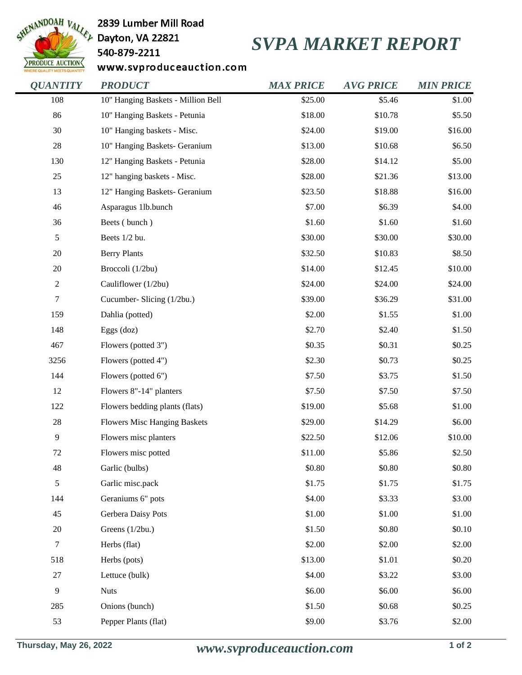

2839 Lumber Mill Road

## 540-879-2211

## *SVPA MARKET REPORT*

www.svproduceauction.com

| <b>OUANTITY</b>  | <b>PRODUCT</b>                      | <b>MAX PRICE</b> | <b>AVG PRICE</b> | <b>MIN PRICE</b> |
|------------------|-------------------------------------|------------------|------------------|------------------|
| 108              | 10" Hanging Baskets - Million Bell  | \$25.00          | \$5.46           | \$1.00           |
| 86               | 10" Hanging Baskets - Petunia       | \$18.00          | \$10.78          | \$5.50           |
| 30               | 10" Hanging baskets - Misc.         | \$24.00          | \$19.00          | \$16.00          |
| $28\,$           | 10" Hanging Baskets- Geranium       | \$13.00          | \$10.68          | \$6.50           |
| 130              | 12" Hanging Baskets - Petunia       | \$28.00          | \$14.12          | \$5.00           |
| 25               | 12" hanging baskets - Misc.         | \$28.00          | \$21.36          | \$13.00          |
| 13               | 12" Hanging Baskets- Geranium       | \$23.50          | \$18.88          | \$16.00          |
| 46               | Asparagus 1lb.bunch                 | \$7.00           | \$6.39           | \$4.00           |
| 36               | Beets (bunch)                       | \$1.60           | \$1.60           | \$1.60           |
| $\sqrt{5}$       | Beets 1/2 bu.                       | \$30.00          | \$30.00          | \$30.00          |
| 20               | <b>Berry Plants</b>                 | \$32.50          | \$10.83          | \$8.50           |
| 20               | Broccoli (1/2bu)                    | \$14.00          | \$12.45          | \$10.00          |
| $\boldsymbol{2}$ | Cauliflower (1/2bu)                 | \$24.00          | \$24.00          | \$24.00          |
| $\boldsymbol{7}$ | Cucumber- Slicing (1/2bu.)          | \$39.00          | \$36.29          | \$31.00          |
| 159              | Dahlia (potted)                     | \$2.00           | \$1.55           | \$1.00           |
| 148              | Eggs $(doz)$                        | \$2.70           | \$2.40           | \$1.50           |
| 467              | Flowers (potted 3")                 | \$0.35           | \$0.31           | \$0.25           |
| 3256             | Flowers (potted 4")                 | \$2.30           | \$0.73           | \$0.25           |
| 144              | Flowers (potted 6")                 | \$7.50           | \$3.75           | \$1.50           |
| 12               | Flowers 8"-14" planters             | \$7.50           | \$7.50           | \$7.50           |
| 122              | Flowers bedding plants (flats)      | \$19.00          | \$5.68           | \$1.00           |
| $28\,$           | <b>Flowers Misc Hanging Baskets</b> | \$29.00          | \$14.29          | \$6.00           |
| 9                | Flowers misc planters               | \$22.50          | \$12.06          | \$10.00          |
| $72\,$           | Flowers misc potted                 | \$11.00          | \$5.86           | \$2.50           |
| 48               | Garlic (bulbs)                      | \$0.80           | \$0.80           | \$0.80           |
| $\mathfrak s$    | Garlic misc.pack                    | \$1.75           | \$1.75           | \$1.75           |
| 144              | Geraniums 6" pots                   | \$4.00           | \$3.33           | \$3.00           |
| 45               | Gerbera Daisy Pots                  | \$1.00           | \$1.00           | \$1.00           |
| $20\,$           | Greens (1/2bu.)                     | \$1.50           | \$0.80           | \$0.10           |
| $\boldsymbol{7}$ | Herbs (flat)                        | \$2.00           | \$2.00           | \$2.00           |
| 518              | Herbs (pots)                        | \$13.00          | \$1.01           | \$0.20           |
| $27\,$           | Lettuce (bulk)                      | \$4.00           | \$3.22           | \$3.00           |
| 9                | <b>Nuts</b>                         | \$6.00           | \$6.00           | \$6.00           |
| 285              | Onions (bunch)                      | \$1.50           | \$0.68           | \$0.25           |
| 53               | Pepper Plants (flat)                | \$9.00           | \$3.76           | \$2.00           |
|                  |                                     |                  |                  |                  |